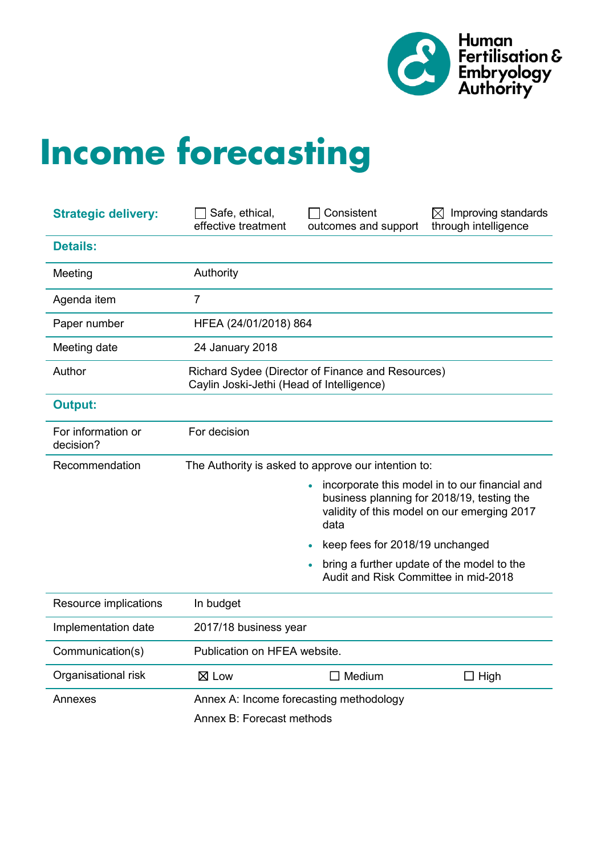

# **Income forecasting**

| <b>Strategic delivery:</b>      | Safe, ethical,<br>effective treatment                                                          | Consistent<br>outcomes and support                  | $\boxtimes$ Improving standards<br>through intelligence                                                                                     |  |  |  |  |
|---------------------------------|------------------------------------------------------------------------------------------------|-----------------------------------------------------|---------------------------------------------------------------------------------------------------------------------------------------------|--|--|--|--|
| <b>Details:</b>                 |                                                                                                |                                                     |                                                                                                                                             |  |  |  |  |
| Meeting                         | Authority                                                                                      |                                                     |                                                                                                                                             |  |  |  |  |
| Agenda item                     | $\overline{7}$                                                                                 |                                                     |                                                                                                                                             |  |  |  |  |
| Paper number                    | HFEA (24/01/2018) 864                                                                          |                                                     |                                                                                                                                             |  |  |  |  |
| Meeting date                    | 24 January 2018                                                                                |                                                     |                                                                                                                                             |  |  |  |  |
| Author                          | Richard Sydee (Director of Finance and Resources)<br>Caylin Joski-Jethi (Head of Intelligence) |                                                     |                                                                                                                                             |  |  |  |  |
| <b>Output:</b>                  |                                                                                                |                                                     |                                                                                                                                             |  |  |  |  |
| For information or<br>decision? | For decision                                                                                   |                                                     |                                                                                                                                             |  |  |  |  |
| Recommendation                  |                                                                                                | The Authority is asked to approve our intention to: |                                                                                                                                             |  |  |  |  |
|                                 |                                                                                                | data                                                | incorporate this model in to our financial and<br>business planning for 2018/19, testing the<br>validity of this model on our emerging 2017 |  |  |  |  |
|                                 |                                                                                                | keep fees for 2018/19 unchanged                     |                                                                                                                                             |  |  |  |  |
|                                 |                                                                                                | Audit and Risk Committee in mid-2018                | bring a further update of the model to the                                                                                                  |  |  |  |  |
| Resource implications           | In budget                                                                                      |                                                     |                                                                                                                                             |  |  |  |  |
| Implementation date             | 2017/18 business year                                                                          |                                                     |                                                                                                                                             |  |  |  |  |
| Communication(s)                | Publication on HFEA website.                                                                   |                                                     |                                                                                                                                             |  |  |  |  |
| Organisational risk             | $\boxtimes$ Low                                                                                | $\Box$ Medium                                       | $\Box$ High                                                                                                                                 |  |  |  |  |
| Annexes                         |                                                                                                | Annex A: Income forecasting methodology             |                                                                                                                                             |  |  |  |  |
|                                 | Annex B: Forecast methods                                                                      |                                                     |                                                                                                                                             |  |  |  |  |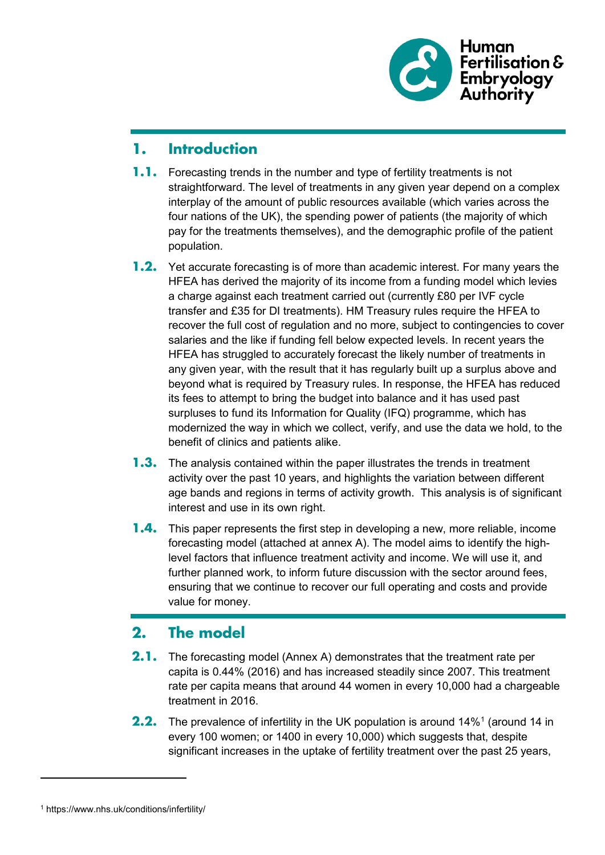

## **1. Introduction**

- **1.1.** Forecasting trends in the number and type of fertility treatments is not straightforward. The level of treatments in any given year depend on a complex interplay of the amount of public resources available (which varies across the four nations of the UK), the spending power of patients (the majority of which pay for the treatments themselves), and the demographic profile of the patient population.
- **1.2.** Yet accurate forecasting is of more than academic interest. For many years the HFEA has derived the majority of its income from a funding model which levies a charge against each treatment carried out (currently £80 per IVF cycle transfer and £35 for DI treatments). HM Treasury rules require the HFEA to recover the full cost of regulation and no more, subject to contingencies to cover salaries and the like if funding fell below expected levels. In recent years the HFEA has struggled to accurately forecast the likely number of treatments in any given year, with the result that it has regularly built up a surplus above and beyond what is required by Treasury rules. In response, the HFEA has reduced its fees to attempt to bring the budget into balance and it has used past surpluses to fund its Information for Quality (IFQ) programme, which has modernized the way in which we collect, verify, and use the data we hold, to the benefit of clinics and patients alike.
- **1.3.** The analysis contained within the paper illustrates the trends in treatment activity over the past 10 years, and highlights the variation between different age bands and regions in terms of activity growth. This analysis is of significant interest and use in its own right.
- **1.4.** This paper represents the first step in developing a new, more reliable, income forecasting model (attached at annex A). The model aims to identify the highlevel factors that influence treatment activity and income. We will use it, and further planned work, to inform future discussion with the sector around fees, ensuring that we continue to recover our full operating and costs and provide value for money.

## **2. The model**

- **2.1.** The forecasting model (Annex A) demonstrates that the treatment rate per capita is 0.44% (2016) and has increased steadily since 2007. This treatment rate per capita means that around 44 women in every 10,000 had a chargeable treatment in 2016.
- **2.2.** The prevalence of infertility in the UK population is around [1](#page-1-0)4%<sup>1</sup> (around 14 in every 100 women; or 1400 in every 10,000) which suggests that, despite significant increases in the uptake of fertility treatment over the past 25 years,

-

<span id="page-1-0"></span><sup>1</sup> https://www.nhs.uk/conditions/infertility/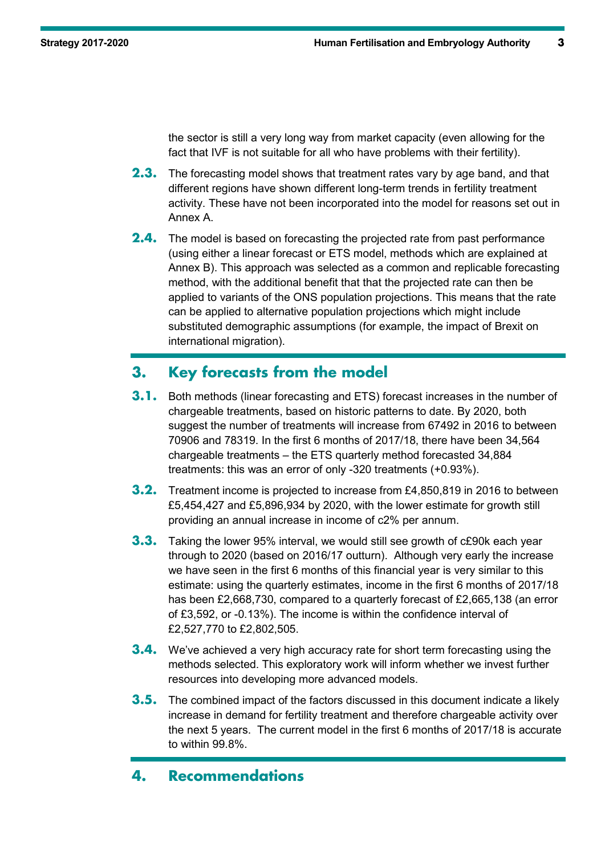the sector is still a very long way from market capacity (even allowing for the fact that IVF is not suitable for all who have problems with their fertility).

- **2.3.** The forecasting model shows that treatment rates vary by age band, and that different regions have shown different long-term trends in fertility treatment activity. These have not been incorporated into the model for reasons set out in Annex A.
- **2.4.** The model is based on forecasting the projected rate from past performance (using either a linear forecast or ETS model, methods which are explained at Annex B). This approach was selected as a common and replicable forecasting method, with the additional benefit that that the projected rate can then be applied to variants of the ONS population projections. This means that the rate can be applied to alternative population projections which might include substituted demographic assumptions (for example, the impact of Brexit on international migration).

## **3. Key forecasts from the model**

- **3.1.** Both methods (linear forecasting and ETS) forecast increases in the number of chargeable treatments, based on historic patterns to date. By 2020, both suggest the number of treatments will increase from 67492 in 2016 to between 70906 and 78319. In the first 6 months of 2017/18, there have been 34,564 chargeable treatments – the ETS quarterly method forecasted 34,884 treatments: this was an error of only -320 treatments (+0.93%).
- **3.2.** Treatment income is projected to increase from £4,850,819 in 2016 to between £5,454,427 and £5,896,934 by 2020, with the lower estimate for growth still providing an annual increase in income of c2% per annum.
- **3.3.** Taking the lower 95% interval, we would still see growth of c£90k each year through to 2020 (based on 2016/17 outturn). Although very early the increase we have seen in the first 6 months of this financial year is very similar to this estimate: using the quarterly estimates, income in the first 6 months of 2017/18 has been £2,668,730, compared to a quarterly forecast of £2,665,138 (an error of £3,592, or -0.13%). The income is within the confidence interval of £2,527,770 to £2,802,505.
- **3.4.** We've achieved a very high accuracy rate for short term forecasting using the methods selected. This exploratory work will inform whether we invest further resources into developing more advanced models.
- **3.5.** The combined impact of the factors discussed in this document indicate a likely increase in demand for fertility treatment and therefore chargeable activity over the next 5 years. The current model in the first 6 months of 2017/18 is accurate to within 99.8%.

## **4. Recommendations**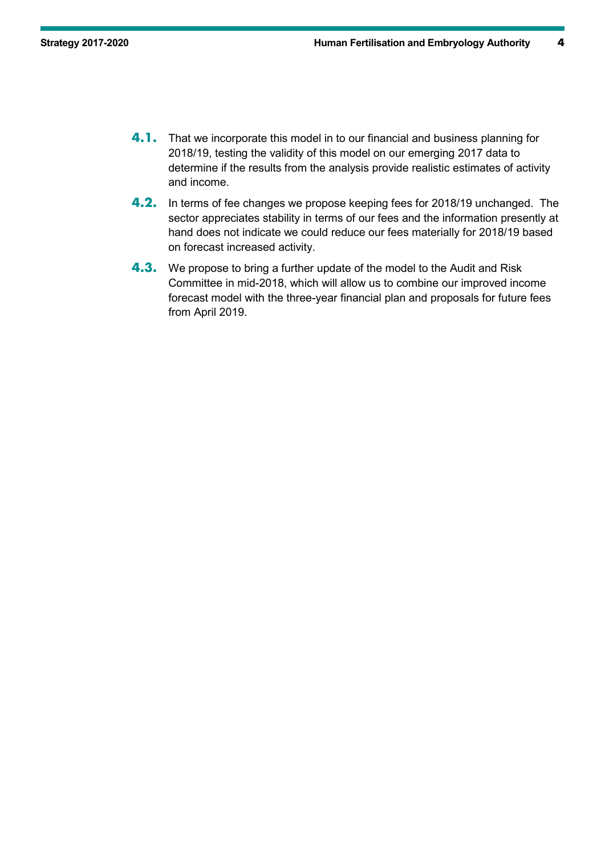- **4.1.** That we incorporate this model in to our financial and business planning for 2018/19, testing the validity of this model on our emerging 2017 data to determine if the results from the analysis provide realistic estimates of activity and income.
- **4.2.** In terms of fee changes we propose keeping fees for 2018/19 unchanged. The sector appreciates stability in terms of our fees and the information presently at hand does not indicate we could reduce our fees materially for 2018/19 based on forecast increased activity.
- **4.3.** We propose to bring a further update of the model to the Audit and Risk Committee in mid-2018, which will allow us to combine our improved income forecast model with the three-year financial plan and proposals for future fees from April 2019.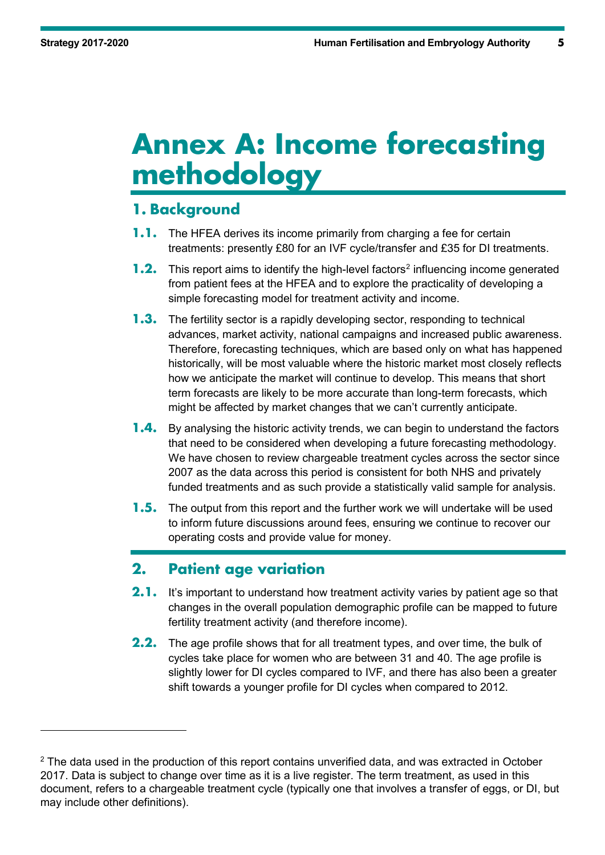-

## **Annex A: Income forecasting methodology**

## **1. Background**

- **1.1.** The HFEA derives its income primarily from charging a fee for certain treatments: presently £80 for an IVF cycle/transfer and £35 for DI treatments.
- **1.[2](#page-4-0).** This report aims to identify the high-level factors<sup>2</sup> influencing income generated from patient fees at the HFEA and to explore the practicality of developing a simple forecasting model for treatment activity and income.
- **1.3.** The fertility sector is a rapidly developing sector, responding to technical advances, market activity, national campaigns and increased public awareness. Therefore, forecasting techniques, which are based only on what has happened historically, will be most valuable where the historic market most closely reflects how we anticipate the market will continue to develop. This means that short term forecasts are likely to be more accurate than long-term forecasts, which might be affected by market changes that we can't currently anticipate.
- **1.4.** By analysing the historic activity trends, we can begin to understand the factors that need to be considered when developing a future forecasting methodology. We have chosen to review chargeable treatment cycles across the sector since 2007 as the data across this period is consistent for both NHS and privately funded treatments and as such provide a statistically valid sample for analysis.
- **1.5.** The output from this report and the further work we will undertake will be used to inform future discussions around fees, ensuring we continue to recover our operating costs and provide value for money.

## **2. Patient age variation**

- **2.1.** It's important to understand how treatment activity varies by patient age so that changes in the overall population demographic profile can be mapped to future fertility treatment activity (and therefore income).
- **2.2.** The age profile shows that for all treatment types, and over time, the bulk of cycles take place for women who are between 31 and 40. The age profile is slightly lower for DI cycles compared to IVF, and there has also been a greater shift towards a younger profile for DI cycles when compared to 2012.

<span id="page-4-0"></span> $2$  The data used in the production of this report contains unverified data, and was extracted in October 2017. Data is subject to change over time as it is a live register. The term treatment, as used in this document, refers to a chargeable treatment cycle (typically one that involves a transfer of eggs, or DI, but may include other definitions).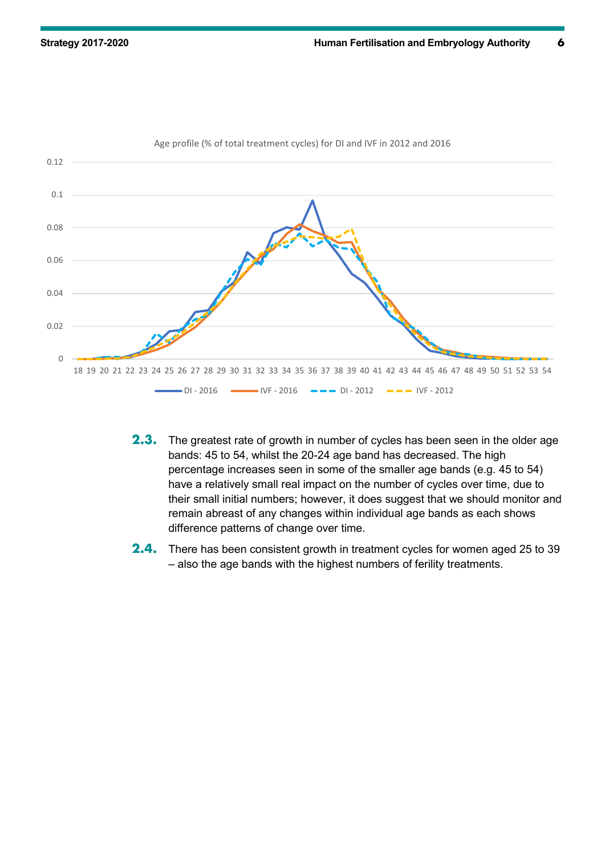

#### Age profile (% of total treatment cycles) for DI and IVF in 2012 and 2016

- **2.3.** The greatest rate of growth in number of cycles has been seen in the older age bands: 45 to 54, whilst the 20-24 age band has decreased. The high percentage increases seen in some of the smaller age bands (e.g. 45 to 54) have a relatively small real impact on the number of cycles over time, due to their small initial numbers; however, it does suggest that we should monitor and remain abreast of any changes within individual age bands as each shows difference patterns of change over time.
- **2.4.** There has been consistent growth in treatment cycles for women aged 25 to 39 – also the age bands with the highest numbers of ferility treatments.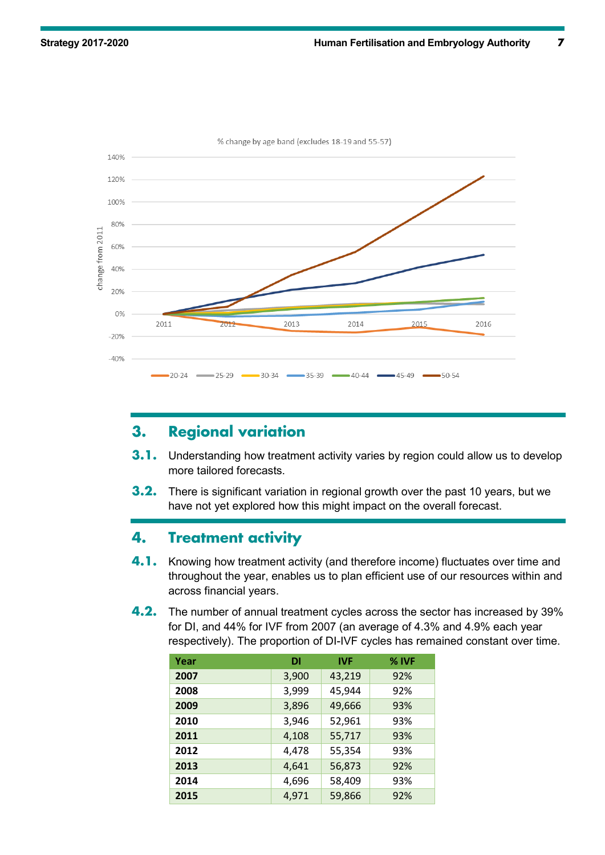

% change by age band (excludes 18-19 and 55-57)

## **3. Regional variation**

- **3.1.** Understanding how treatment activity varies by region could allow us to develop more tailored forecasts.
- **3.2.** There is significant variation in regional growth over the past 10 years, but we have not yet explored how this might impact on the overall forecast.

### **4. Treatment activity**

- **4.1.** Knowing how treatment activity (and therefore income) fluctuates over time and throughout the year, enables us to plan efficient use of our resources within and across financial years.
- **4.2.** The number of annual treatment cycles across the sector has increased by 39% for DI, and 44% for IVF from 2007 (an average of 4.3% and 4.9% each year respectively). The proportion of DI-IVF cycles has remained constant over time.

| Year | DI    | <b>IVF</b> | $%$ IVF |
|------|-------|------------|---------|
| 2007 | 3,900 | 43,219     | 92%     |
| 2008 | 3,999 | 45,944     | 92%     |
| 2009 | 3,896 | 49,666     | 93%     |
| 2010 | 3,946 | 52,961     | 93%     |
| 2011 | 4,108 | 55,717     | 93%     |
| 2012 | 4,478 | 55,354     | 93%     |
| 2013 | 4,641 | 56,873     | 92%     |
| 2014 | 4,696 | 58,409     | 93%     |
| 2015 | 4,971 | 59,866     | 92%     |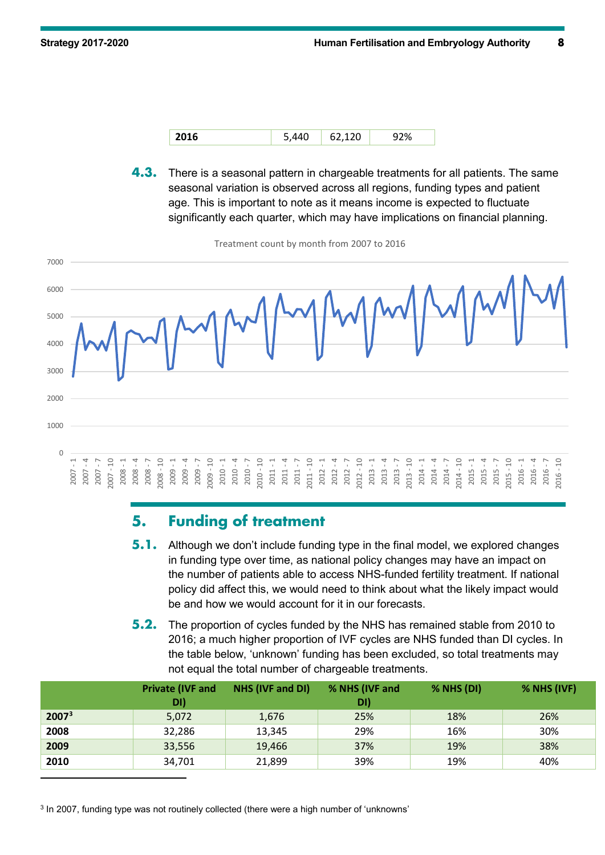

**4.3.** There is a seasonal pattern in chargeable treatments for all patients. The same seasonal variation is observed across all regions, funding types and patient age. This is important to note as it means income is expected to fluctuate significantly each quarter, which may have implications on financial planning.

Treatment count by month from 2007 to 2016



## **5. Funding of treatment**

- **5.1.** Although we don't include funding type in the final model, we explored changes in funding type over time, as national policy changes may have an impact on the number of patients able to access NHS-funded fertility treatment. If national policy did affect this, we would need to think about what the likely impact would be and how we would account for it in our forecasts.
- **5.2.** The proportion of cycles funded by the NHS has remained stable from 2010 to 2016; a much higher proportion of IVF cycles are NHS funded than DI cycles. In the table below, 'unknown' funding has been excluded, so total treatments may not equal the total number of chargeable treatments.

|                   | <b>Private (IVF and</b><br>DI) | NHS (IVF and DI) | % NHS (IVF and<br>DI) | $%$ NHS $(DI)$ | $%$ NHS (IVF) |
|-------------------|--------------------------------|------------------|-----------------------|----------------|---------------|
| 2007 <sup>3</sup> | 5,072                          | 1,676            | 25%                   | 18%            | 26%           |
| 2008              | 32,286                         | 13,345           | 29%                   | 16%            | 30%           |
| 2009              | 33,556                         | 19,466           | 37%                   | 19%            | 38%           |
| 2010              | 34,701                         | 21,899           | 39%                   | 19%            | 40%           |
|                   |                                |                  |                       |                |               |

<span id="page-7-0"></span><sup>3</sup> In 2007, funding type was not routinely collected (there were a high number of 'unknowns'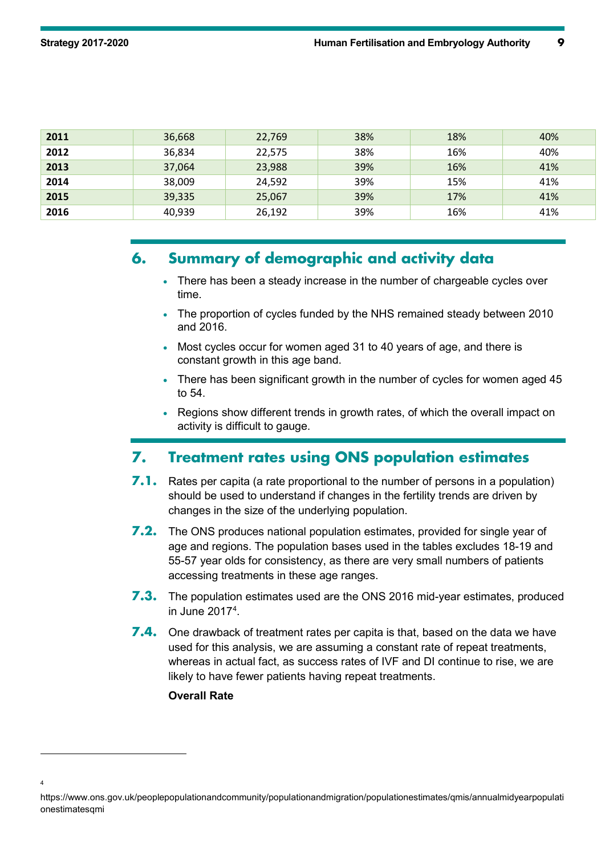| 2011 | 36,668 | 22,769 | 38% | 18% | 40% |
|------|--------|--------|-----|-----|-----|
| 2012 | 36,834 | 22,575 | 38% | 16% | 40% |
| 2013 | 37,064 | 23,988 | 39% | 16% | 41% |
| 2014 | 38,009 | 24,592 | 39% | 15% | 41% |
| 2015 | 39,335 | 25,067 | 39% | 17% | 41% |
| 2016 | 40,939 | 26,192 | 39% | 16% | 41% |

## **6. Summary of demographic and activity data**

- There has been a steady increase in the number of chargeable cycles over time.
- The proportion of cycles funded by the NHS remained steady between 2010 and 2016.
- Most cycles occur for women aged 31 to 40 years of age, and there is constant growth in this age band.
- There has been significant growth in the number of cycles for women aged 45 to 54.
- Regions show different trends in growth rates, of which the overall impact on activity is difficult to gauge.

## **7. Treatment rates using ONS population estimates**

- **7.1.** Rates per capita (a rate proportional to the number of persons in a population) should be used to understand if changes in the fertility trends are driven by changes in the size of the underlying population.
- **7.2.** The ONS produces national population estimates, provided for single year of age and regions. The population bases used in the tables excludes 18-19 and 55-57 year olds for consistency, as there are very small numbers of patients accessing treatments in these age ranges.
- **7.3.** The population estimates used are the ONS 2016 mid-year estimates, produced in June 2017[4](#page-8-0) .
- **7.4.** One drawback of treatment rates per capita is that, based on the data we have used for this analysis, we are assuming a constant rate of repeat treatments, whereas in actual fact, as success rates of IVF and DI continue to rise, we are likely to have fewer patients having repeat treatments.

#### **Overall Rate**

-

 $\overline{A}$ 

<span id="page-8-0"></span>https://www.ons.gov.uk/peoplepopulationandcommunity/populationandmigration/populationestimates/qmis/annualmidyearpopulati onestimatesqmi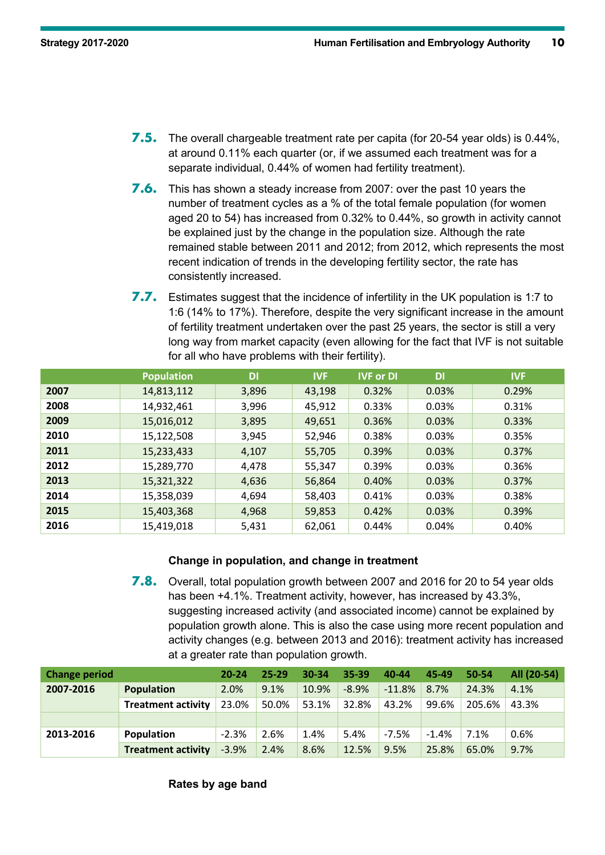- **7.5.** The overall chargeable treatment rate per capita (for 20-54 year olds) is 0.44%, at around 0.11% each quarter (or, if we assumed each treatment was for a separate individual, 0.44% of women had fertility treatment).
- **7.6.** This has shown a steady increase from 2007: over the past 10 years the number of treatment cycles as a % of the total female population (for women aged 20 to 54) has increased from 0.32% to 0.44%, so growth in activity cannot be explained just by the change in the population size. Although the rate remained stable between 2011 and 2012; from 2012, which represents the most recent indication of trends in the developing fertility sector, the rate has consistently increased.
- **7.7.** Estimates suggest that the incidence of infertility in the UK population is 1:7 to 1:6 (14% to 17%). Therefore, despite the very significant increase in the amount of fertility treatment undertaken over the past 25 years, the sector is still a very long way from market capacity (even allowing for the fact that IVF is not suitable for all who have problems with their fertility).

|      | <b>Population</b> | <b>DI</b> | <b>IVF</b> | <b>IVF or DI</b> | DI    | <b>IVF</b> |
|------|-------------------|-----------|------------|------------------|-------|------------|
| 2007 | 14,813,112        | 3,896     | 43,198     | 0.32%            | 0.03% | 0.29%      |
| 2008 | 14,932,461        | 3,996     | 45,912     | 0.33%            | 0.03% | 0.31%      |
| 2009 | 15,016,012        | 3,895     | 49,651     | 0.36%            | 0.03% | 0.33%      |
| 2010 | 15,122,508        | 3,945     | 52,946     | 0.38%            | 0.03% | 0.35%      |
| 2011 | 15,233,433        | 4,107     | 55,705     | 0.39%            | 0.03% | 0.37%      |
| 2012 | 15,289,770        | 4,478     | 55,347     | 0.39%            | 0.03% | 0.36%      |
| 2013 | 15,321,322        | 4,636     | 56,864     | 0.40%            | 0.03% | 0.37%      |
| 2014 | 15,358,039        | 4,694     | 58,403     | 0.41%            | 0.03% | 0.38%      |
| 2015 | 15,403,368        | 4,968     | 59,853     | 0.42%            | 0.03% | 0.39%      |
| 2016 | 15,419,018        | 5,431     | 62,061     | 0.44%            | 0.04% | 0.40%      |

#### **Change in population, and change in treatment**

**7.8.** Overall, total population growth between 2007 and 2016 for 20 to 54 year olds has been +4.1%. Treatment activity, however, has increased by 43.3%, suggesting increased activity (and associated income) cannot be explained by population growth alone. This is also the case using more recent population and activity changes (e.g. between 2013 and 2016): treatment activity has increased at a greater rate than population growth.

| <b>Change period</b> |                           | $20 - 24$ | $25 - 29$ | $30 - 34$ | 35-39   | 40-44    | 45-49   | 50-54  | All (20-54) |
|----------------------|---------------------------|-----------|-----------|-----------|---------|----------|---------|--------|-------------|
| 2007-2016            | Population                | 2.0%      | 9.1%      | 10.9%     | $-8.9%$ | $-11.8%$ | 8.7%    | 24.3%  | 4.1%        |
|                      | <b>Treatment activity</b> | 23.0%     | 50.0%     | 53.1%     | 32.8%   | 43.2%    | 99.6%   | 205.6% | 43.3%       |
|                      |                           |           |           |           |         |          |         |        |             |
| 2013-2016            | Population                | $-2.3%$   | 2.6%      | 1.4%      | 5.4%    | $-7.5%$  | $-1.4%$ | 7.1%   | 0.6%        |
|                      | <b>Treatment activity</b> | $-3.9%$   | 2.4%      | 8.6%      | 12.5%   | 9.5%     | 25.8%   | 65.0%  | 9.7%        |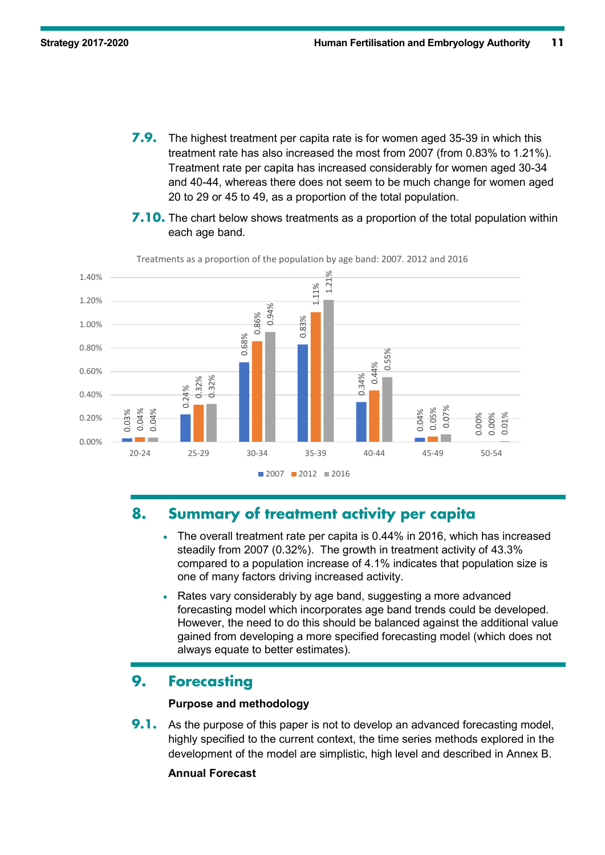- **7.9.** The highest treatment per capita rate is for women aged 35-39 in which this treatment rate has also increased the most from 2007 (from 0.83% to 1.21%). Treatment rate per capita has increased considerably for women aged 30-34 and 40-44, whereas there does not seem to be much change for women aged 20 to 29 or 45 to 49, as a proportion of the total population.
- **7.10.** The chart below shows treatments as a proportion of the total population within each age band.



Treatments as a proportion of the population by age band: 2007. 2012 and 2016

## **8. Summary of treatment activity per capita**

- The overall treatment rate per capita is 0.44% in 2016, which has increased steadily from 2007 (0.32%). The growth in treatment activity of 43.3% compared to a population increase of 4.1% indicates that population size is one of many factors driving increased activity.
- Rates vary considerably by age band, suggesting a more advanced forecasting model which incorporates age band trends could be developed. However, the need to do this should be balanced against the additional value gained from developing a more specified forecasting model (which does not always equate to better estimates).

## **9. Forecasting**

#### **Purpose and methodology**

**9.1.** As the purpose of this paper is not to develop an advanced forecasting model, highly specified to the current context, the time series methods explored in the development of the model are simplistic, high level and described in Annex B.

#### **Annual Forecast**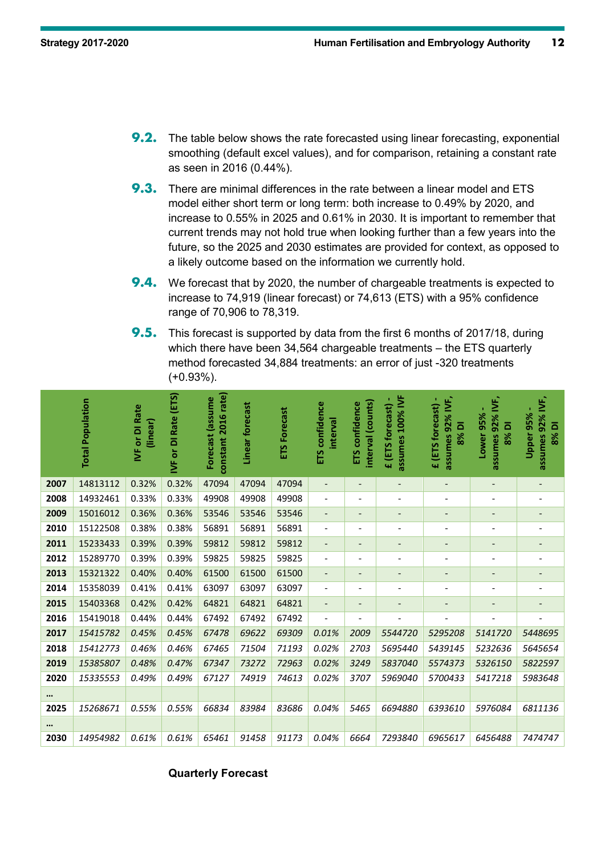- **9.2.** The table below shows the rate forecasted using linear forecasting, exponential smoothing (default excel values), and for comparison, retaining a constant rate as seen in 2016 (0.44%).
- **9.3.** There are minimal differences in the rate between a linear model and ETS model either short term or long term: both increase to 0.49% by 2020, and increase to 0.55% in 2025 and 0.61% in 2030. It is important to remember that current trends may not hold true when looking further than a few years into the future, so the 2025 and 2030 estimates are provided for context, as opposed to a likely outcome based on the information we currently hold.
- **9.4.** We forecast that by 2020, the number of chargeable treatments is expected to increase to 74,919 (linear forecast) or 74,613 (ETS) with a 95% confidence range of 70,906 to 78,319.
- **9.5.** This forecast is supported by data from the first 6 months of 2017/18, during which there have been 34,564 chargeable treatments – the ETS quarterly method forecasted 34,884 treatments: an error of just -320 treatments (+0.93%).

|          | <b>Total Population</b> | <b>IVF</b> or DI Rate<br>(linear) | IVF or DI Rate (ETS) | constant 2016 rate)<br>Forecast (assume | Linear forecast | <b>ETS Forecast</b> | <b>ETS</b> confidence<br>interval | interval (counts)<br>ETS confidence | assumes 100% IVF<br>£ (ETS forecast) | assumes 92% IVF,<br>£ (ETS forecast) -<br>8% DI | 92% IVF,<br>Lower 95%<br>8% DI<br>assumes | assumes 92% IVF,<br>Upper 95%<br>8% DI |
|----------|-------------------------|-----------------------------------|----------------------|-----------------------------------------|-----------------|---------------------|-----------------------------------|-------------------------------------|--------------------------------------|-------------------------------------------------|-------------------------------------------|----------------------------------------|
| 2007     | 14813112                | 0.32%                             | 0.32%                | 47094                                   | 47094           | 47094               | $\overline{\phantom{a}}$          | $\overline{\phantom{a}}$            | $\overline{\phantom{a}}$             | $\overline{\phantom{a}}$                        | $\overline{\phantom{a}}$                  | $\overline{\phantom{a}}$               |
| 2008     | 14932461                | 0.33%                             | 0.33%                | 49908                                   | 49908           | 49908               | $\overline{\phantom{a}}$          | $\overline{\phantom{a}}$            | $\overline{\phantom{a}}$             | $\overline{a}$                                  | $\overline{\phantom{a}}$                  | $\overline{\phantom{a}}$               |
| 2009     | 15016012                | 0.36%                             | 0.36%                | 53546                                   | 53546           | 53546               | $\overline{\phantom{a}}$          | $\overline{\phantom{0}}$            | $\overline{\phantom{a}}$             | $\qquad \qquad \blacksquare$                    | $\overline{\phantom{m}}$                  | $\qquad \qquad \blacksquare$           |
| 2010     | 15122508                | 0.38%                             | 0.38%                | 56891                                   | 56891           | 56891               | $\overline{\phantom{a}}$          | $\overline{a}$                      | $\overline{\phantom{a}}$             | $\overline{\phantom{a}}$                        | $\overline{a}$                            | $\overline{\phantom{a}}$               |
| 2011     | 15233433                | 0.39%                             | 0.39%                | 59812                                   | 59812           | 59812               | $\overline{\phantom{a}}$          | $\overline{\phantom{0}}$            | $\overline{\phantom{a}}$             | $\qquad \qquad \blacksquare$                    | $\qquad \qquad \blacksquare$              | $\overline{\phantom{a}}$               |
| 2012     | 15289770                | 0.39%                             | 0.39%                | 59825                                   | 59825           | 59825               | $\overline{\phantom{a}}$          | $\overline{\phantom{a}}$            | $\overline{\phantom{a}}$             |                                                 | $\overline{\phantom{m}}$                  | $\overline{\phantom{a}}$               |
| 2013     | 15321322                | 0.40%                             | 0.40%                | 61500                                   | 61500           | 61500               | $\overline{\phantom{a}}$          | $\qquad \qquad \blacksquare$        | $\overline{\phantom{0}}$             |                                                 | $\overline{\phantom{m}}$                  |                                        |
| 2014     | 15358039                | 0.41%                             | 0.41%                | 63097                                   | 63097           | 63097               | $\qquad \qquad \blacksquare$      | $\overline{\phantom{a}}$            | $\overline{\phantom{a}}$             |                                                 | $\overline{\phantom{a}}$                  | $\overline{\phantom{a}}$               |
| 2015     | 15403368                | 0.42%                             | 0.42%                | 64821                                   | 64821           | 64821               | $\overline{\phantom{a}}$          | $\qquad \qquad \blacksquare$        | $\qquad \qquad \blacksquare$         |                                                 | $\qquad \qquad \blacksquare$              | $\overline{\phantom{a}}$               |
| 2016     | 15419018                | 0.44%                             | 0.44%                | 67492                                   | 67492           | 67492               | $\overline{a}$                    | $\overline{\phantom{a}}$            | L,                                   |                                                 | $\overline{\phantom{a}}$                  | $\overline{\phantom{a}}$               |
| 2017     | 15415782                | 0.45%                             | 0.45%                | 67478                                   | 69622           | 69309               | 0.01%                             | 2009                                | 5544720                              | 5295208                                         | 5141720                                   | 5448695                                |
| 2018     | 15412773                | 0.46%                             | 0.46%                | 67465                                   | 71504           | 71193               | 0.02%                             | 2703                                | 5695440                              | 5439145                                         | 5232636                                   | 5645654                                |
| 2019     | 15385807                | 0.48%                             | 0.47%                | 67347                                   | 73272           | 72963               | 0.02%                             | 3249                                | 5837040                              | 5574373                                         | 5326150                                   | 5822597                                |
| 2020     | 15335553                | 0.49%                             | 0.49%                | 67127                                   | 74919           | 74613               | 0.02%                             | 3707                                | 5969040                              | 5700433                                         | 5417218                                   | 5983648                                |
| $\cdots$ |                         |                                   |                      |                                         |                 |                     |                                   |                                     |                                      |                                                 |                                           |                                        |
| 2025     | 15268671                | 0.55%                             | 0.55%                | 66834                                   | 83984           | 83686               | 0.04%                             | 5465                                | 6694880                              | 6393610                                         | 5976084                                   | 6811136                                |
| $\cdots$ |                         |                                   |                      |                                         |                 |                     |                                   |                                     |                                      |                                                 |                                           |                                        |
| 2030     | 14954982                | 0.61%                             | 0.61%                | 65461                                   | 91458           | 91173               | 0.04%                             | 6664                                | 7293840                              | 6965617                                         | 6456488                                   | 7474747                                |

#### **Quarterly Forecast**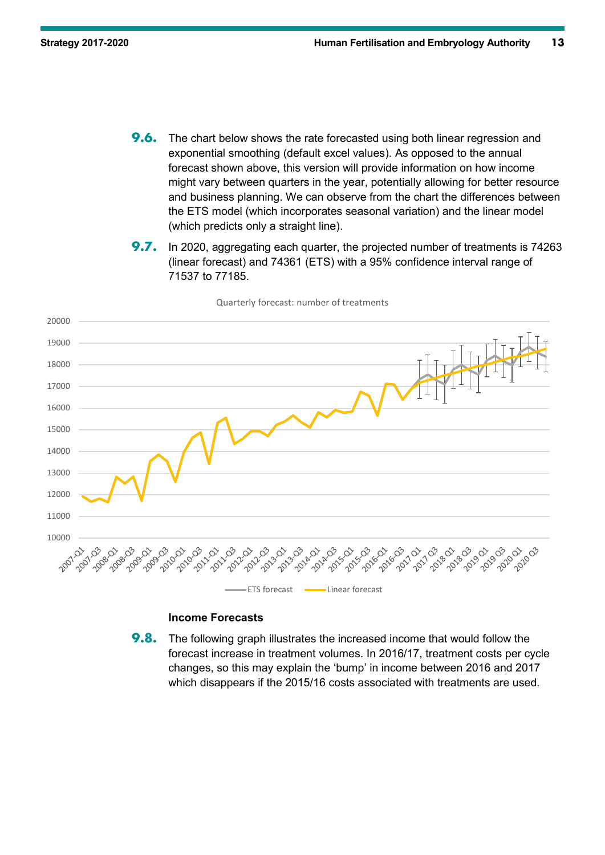- **9.6.** The chart below shows the rate forecasted using both linear regression and exponential smoothing (default excel values). As opposed to the annual forecast shown above, this version will provide information on how income might vary between quarters in the year, potentially allowing for better resource and business planning. We can observe from the chart the differences between the ETS model (which incorporates seasonal variation) and the linear model (which predicts only a straight line).
- **9.7.** In 2020, aggregating each quarter, the projected number of treatments is 74263 (linear forecast) and 74361 (ETS) with a 95% confidence interval range of 71537 to 77185.



Quarterly forecast: number of treatments

#### **Income Forecasts**

**9.8.** The following graph illustrates the increased income that would follow the forecast increase in treatment volumes. In 2016/17, treatment costs per cycle changes, so this may explain the 'bump' in income between 2016 and 2017 which disappears if the 2015/16 costs associated with treatments are used.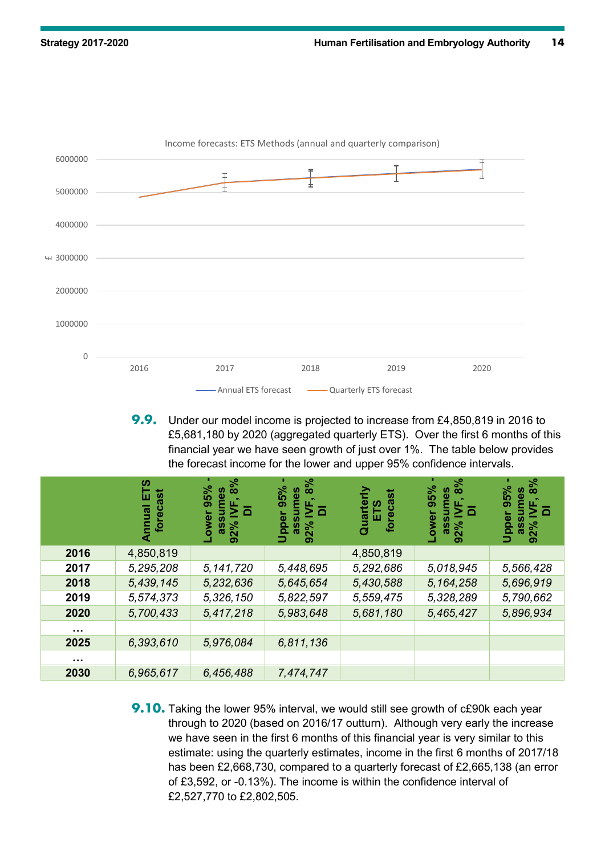

**9.9.** Under our model income is projected to increase from £4,850,819 in 2016 to £5,681,180 by 2020 (aggregated quarterly ETS). Over the first 6 months of this financial year we have seen growth of just over 1%. The table below provides the forecast income for the lower and upper 95% confidence intervals.

|                      | ഗ<br>recast<br>ш<br>Annual<br><u>ō</u> | 8%<br>95%<br>es<br><b>Lower</b><br>นธรย<br>$92\%$ | 8%<br>95%<br>ဖ္ပ<br> <br> <br> <br> <br>Upper<br>92%<br>σ | forecast<br>م<br>سا<br>Quart | 8%<br>95%<br>Φ<br>ower<br>೧೦೮<br>92% | 8%<br>95%<br>စ္ယ<br>$\Box$<br>Upper<br>ທ<br>လ<br>$92\%$ |
|----------------------|----------------------------------------|---------------------------------------------------|-----------------------------------------------------------|------------------------------|--------------------------------------|---------------------------------------------------------|
| 2016                 | 4,850,819                              |                                                   |                                                           | 4,850,819                    |                                      |                                                         |
| 2017                 | 5,295,208                              | 5, 141, 720                                       | 5,448,695                                                 | 5,292,686                    | 5,018,945                            | 5,566,428                                               |
| 2018                 | 5,439,145                              | 5,232,636                                         | 5,645,654                                                 | 5,430,588                    | 5, 164, 258                          | 5,696,919                                               |
| 2019                 | 5,574,373                              | 5,326,150                                         | 5,822,597                                                 | 5,559,475                    | 5,328,289                            | 5,790,662                                               |
| 2020                 | 5,700,433                              | 5,417,218                                         | 5,983,648                                                 | 5,681,180                    | 5,465,427                            | 5,896,934                                               |
| $\sim 0.1$           |                                        |                                                   |                                                           |                              |                                      |                                                         |
| 2025                 | 6,393,610                              | 5,976,084                                         | 6,811,136                                                 |                              |                                      |                                                         |
| $\sim$ $\sim$ $\sim$ |                                        |                                                   |                                                           |                              |                                      |                                                         |
| 2030                 | 6,965,617                              | 6,456,488                                         | 7,474,747                                                 |                              |                                      |                                                         |

**9.10.** Taking the lower 95% interval, we would still see growth of c£90k each year through to 2020 (based on 2016/17 outturn). Although very early the increase we have seen in the first 6 months of this financial year is very similar to this estimate: using the quarterly estimates, income in the first 6 months of 2017/18 has been £2,668,730, compared to a quarterly forecast of £2,665,138 (an error of £3,592, or -0.13%). The income is within the confidence interval of £2,527,770 to £2,802,505.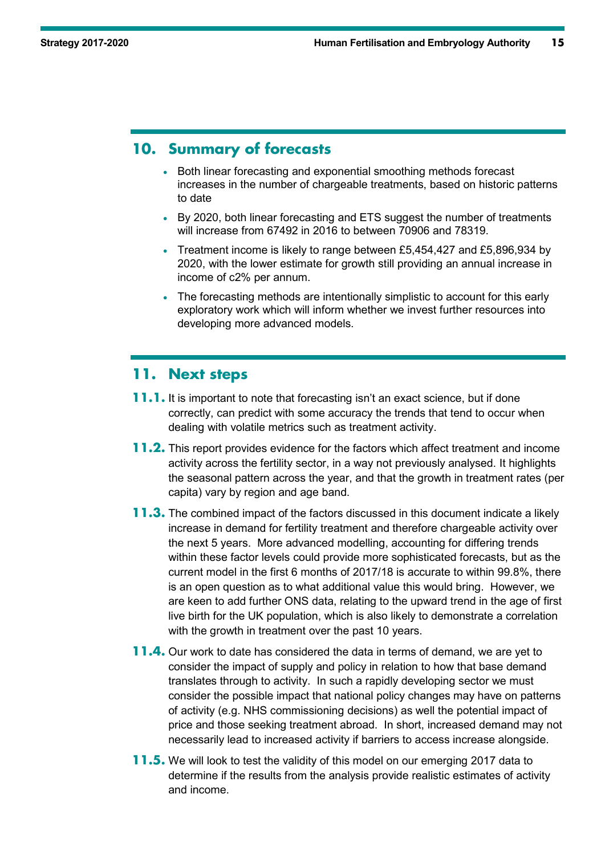## **10. Summary of forecasts**

- Both linear forecasting and exponential smoothing methods forecast increases in the number of chargeable treatments, based on historic patterns to date
- By 2020, both linear forecasting and ETS suggest the number of treatments will increase from 67492 in 2016 to between 70906 and 78319.
- Treatment income is likely to range between £5,454,427 and £5,896,934 by 2020, with the lower estimate for growth still providing an annual increase in income of c2% per annum.
- The forecasting methods are intentionally simplistic to account for this early exploratory work which will inform whether we invest further resources into developing more advanced models.

### **11. Next steps**

- **11.1.** It is important to note that forecasting isn't an exact science, but if done correctly, can predict with some accuracy the trends that tend to occur when dealing with volatile metrics such as treatment activity.
- **11.2.** This report provides evidence for the factors which affect treatment and income activity across the fertility sector, in a way not previously analysed. It highlights the seasonal pattern across the year, and that the growth in treatment rates (per capita) vary by region and age band.
- **11.3.** The combined impact of the factors discussed in this document indicate a likely increase in demand for fertility treatment and therefore chargeable activity over the next 5 years. More advanced modelling, accounting for differing trends within these factor levels could provide more sophisticated forecasts, but as the current model in the first 6 months of 2017/18 is accurate to within 99.8%, there is an open question as to what additional value this would bring. However, we are keen to add further ONS data, relating to the upward trend in the age of first live birth for the UK population, which is also likely to demonstrate a correlation with the growth in treatment over the past 10 years.
- **11.4.** Our work to date has considered the data in terms of demand, we are yet to consider the impact of supply and policy in relation to how that base demand translates through to activity. In such a rapidly developing sector we must consider the possible impact that national policy changes may have on patterns of activity (e.g. NHS commissioning decisions) as well the potential impact of price and those seeking treatment abroad. In short, increased demand may not necessarily lead to increased activity if barriers to access increase alongside.
- **11.5.** We will look to test the validity of this model on our emerging 2017 data to determine if the results from the analysis provide realistic estimates of activity and income.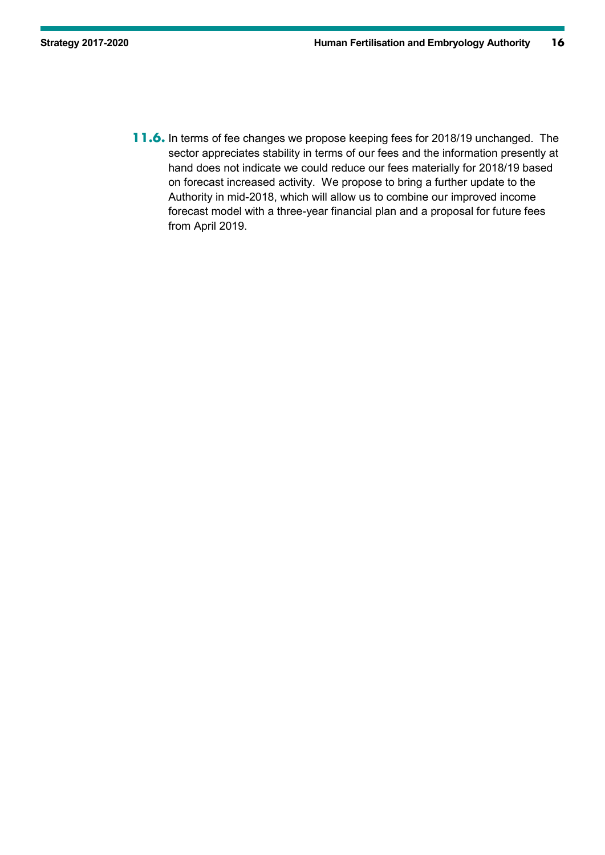**11.6.** In terms of fee changes we propose keeping fees for 2018/19 unchanged. The sector appreciates stability in terms of our fees and the information presently at hand does not indicate we could reduce our fees materially for 2018/19 based on forecast increased activity. We propose to bring a further update to the Authority in mid-2018, which will allow us to combine our improved income forecast model with a three-year financial plan and a proposal for future fees from April 2019.